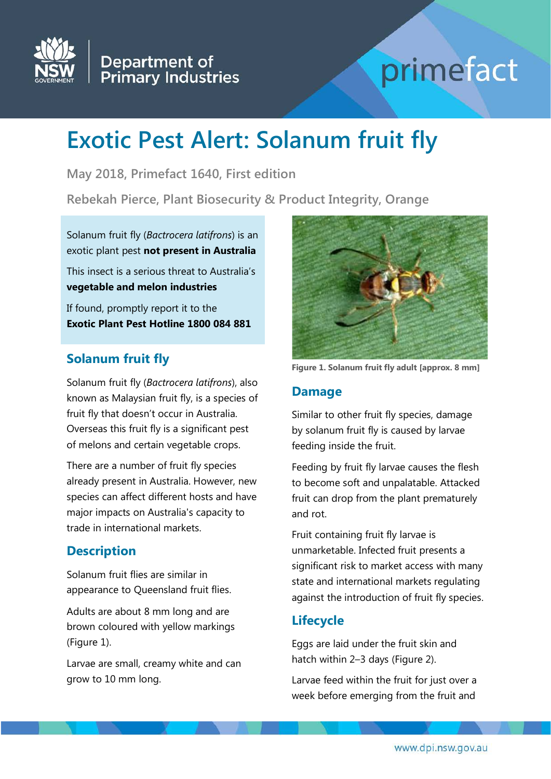

# Department of<br>Primary Industries

## primefact

### **Exotic Pest Alert: Solanum fruit fly**

**May 2018, Primefact 1640, First edition**

**Rebekah Pierce, Plant Biosecurity & Product Integrity, Orange**

Solanum fruit fly (*Bactrocera latifrons*) is an exotic plant pest **not present in Australia**

This insect is a serious threat to Australia's **vegetable and melon industries**

If found, promptly report it to the **Exotic Plant Pest Hotline 1800 084 881**

#### **Solanum fruit fly**

Solanum fruit fly (*Bactrocera latifrons*), also known as Malaysian fruit fly, is a species of fruit fly that doesn't occur in Australia. Overseas this fruit fly is a significant pest of melons and certain vegetable crops.

There are a number of fruit fly species already present in Australia. However, new species can affect different hosts and have major impacts on Australia's capacity to trade in international markets.

#### **Description**

Solanum fruit flies are similar in appearance to Queensland fruit flies.

Adults are about 8 mm long and are brown coloured with yellow markings (Figure 1).

Larvae are small, creamy white and can grow to 10 mm long.



**Figure 1. Solanum fruit fly adult [approx. 8 mm]**

#### **Damage**

Similar to other fruit fly species, damage by solanum fruit fly is caused by larvae feeding inside the fruit.

Feeding by fruit fly larvae causes the flesh to become soft and unpalatable. Attacked fruit can drop from the plant prematurely and rot.

Fruit containing fruit fly larvae is unmarketable. Infected fruit presents a significant risk to market access with many state and international markets regulating against the introduction of fruit fly species.

#### **Lifecycle**

Eggs are laid under the fruit skin and hatch within 2–3 days (Figure 2).

Larvae feed within the fruit for just over a week before emerging from the fruit and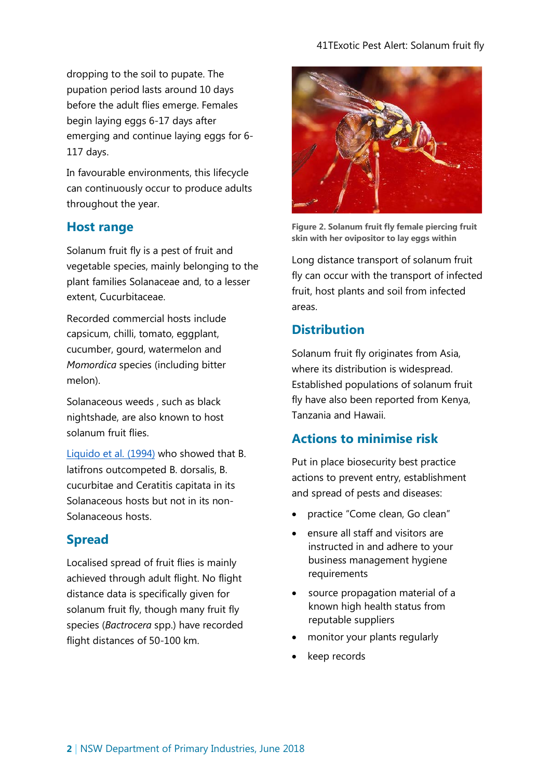dropping to the soil to pupate. The pupation period lasts around 10 days before the adult flies emerge. Females begin laying eggs 6-17 days after emerging and continue laying eggs for 6- 117 days.

In favourable environments, this lifecycle can continuously occur to produce adults throughout the year.

#### **Host range**

Solanum fruit fly is a pest of fruit and vegetable species, mainly belonging to the plant families Solanaceae and, to a lesser extent, Cucurbitaceae.

Recorded commercial hosts include capsicum, chilli, tomato, eggplant, cucumber, gourd, watermelon and *Momordica* species (including bitter melon).

Solanaceous weeds , such as black nightshade, are also known to host solanum fruit flies.

[Liquido et al. \(1994\)](https://www.cabi.org/isc/datasheet/8719%231B3F4A27-485D-4F33-9E5F-73DC9B8D9FFE) who showed that B. latifrons outcompeted B. dorsalis, B. cucurbitae and Ceratitis capitata in its Solanaceous hosts but not in its non-Solanaceous hosts.

#### **Spread**

Localised spread of fruit flies is mainly achieved through adult flight. No flight distance data is specifically given for solanum fruit fly, though many fruit fly species (*Bactrocera* spp.) have recorded flight distances of 50-100 km.



**Figure 2. Solanum fruit fly female piercing fruit skin with her ovipositor to lay eggs within**

Long distance transport of solanum fruit fly can occur with the transport of infected fruit, host plants and soil from infected areas.

#### **Distribution**

Solanum fruit fly originates from Asia, where its distribution is widespread. Established populations of solanum fruit fly have also been reported from Kenya, Tanzania and Hawaii.

#### **Actions to minimise risk**

Put in place biosecurity best practice actions to prevent entry, establishment and spread of pests and diseases:

- practice "Come clean, Go clean"
- ensure all staff and visitors are instructed in and adhere to your business management hygiene requirements
- source propagation material of a known high health status from reputable suppliers
- monitor your plants regularly
- keep records